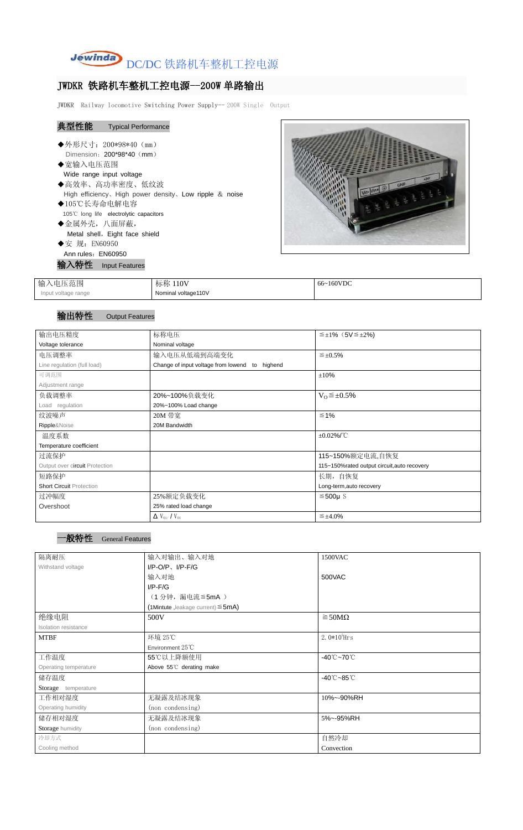

## JWDKR 铁路机车整机工控电源--200W 单路输出

JWDKR Railway locomotive Switching Power Supply-- 200W Single Output

| 典型性能               | <b>Typical Performance</b>                                |  |
|--------------------|-----------------------------------------------------------|--|
|                    | ◆外形尺寸: 200*98*40 (mm)                                     |  |
|                    | Dimension: $200*98*40$ (mm)                               |  |
| ◆宽输入电压范围           |                                                           |  |
|                    | Wide range input voltage                                  |  |
|                    | ◆高效率、高功率密度、低纹波                                            |  |
|                    | High efficiency, High power density, Low ripple $&$ noise |  |
| ◆105℃长寿命电解电容       |                                                           |  |
|                    | 105°C long life electrolytic capacitors                   |  |
| ◆金属外壳, 八面屏蔽,       |                                                           |  |
|                    | Metal shell, Eight face shield                            |  |
| ◆安 规: EN60950      |                                                           |  |
| Ann rules: EN60950 |                                                           |  |
|                    | <b>、特性 Input Features</b>                                 |  |
|                    |                                                           |  |



| .电压范围<br>输入         | 标称 110V             | 66~160VDC |
|---------------------|---------------------|-----------|
| Input voltage range | Nominal voltage110V |           |

## 输出特性 Output Features

| 输出电压精度                          | 标称电压                                           | $\leq \pm 1\%$ (5V $\leq \pm 2\%$ )         |
|---------------------------------|------------------------------------------------|---------------------------------------------|
| Voltage tolerance               | Nominal voltage                                |                                             |
| 电压调整率                           | 输入电压从低端到高端变化                                   | $\leq \pm 0.5\%$                            |
| Line regulation (full load)     | Change of input voltage from lowend to highend |                                             |
| 可调范围                            |                                                | $\pm 10\%$                                  |
| Adjustment range                |                                                |                                             |
| 负载调整率                           | 20%~100%负载变化                                   | $V_0 \leq \pm 0.5\%$                        |
| Load regulation                 | 20%~100% Load change                           |                                             |
| 纹波噪声                            | 20M 带宽                                         | $\leq 1\%$                                  |
| Ripple&Noise                    | 20M Bandwidth                                  |                                             |
| 温度系数                            |                                                | $\pm 0.02\%$ /°C                            |
| Temperature coefficient         |                                                |                                             |
| 过流保护                            |                                                | 115~150%额定电流,自恢复                            |
| Output over circuit Protection  |                                                | 115~150%rated output circuit, auto recovery |
| 短路保护                            |                                                | 长期, 自恢复                                     |
| <b>Short Circuit Protection</b> |                                                | Long-term, auto recovery                    |
| 过冲幅度                            | 25%额定负载变化                                      | $≤500µ$ S                                   |
| Overshoot                       | 25% rated load change                          |                                             |
|                                 | $\Delta$ V <sub>01</sub> /V <sub>01</sub>      | $\leq \pm 4.0\%$                            |

## 一般特性 General Features

| 隔离耐压                  | 输入对输出、输入对地                              | 1500VAC                         |  |
|-----------------------|-----------------------------------------|---------------------------------|--|
| Withstand voltage     | $I/P$ -O/P, $I/P$ -F/G                  |                                 |  |
|                       | 输入对地                                    | 500VAC                          |  |
|                       | $I/P$ - $F/G$                           |                                 |  |
|                       | (1分钟,漏电流≦5mA)                           |                                 |  |
|                       | (1Mintute, leakage current) $\leq$ 5mA) |                                 |  |
| 绝缘电阻                  | 500V                                    | $\geq$ 50M $\Omega$             |  |
| Isolation resistance  |                                         |                                 |  |
| <b>MTBF</b>           | 环境 25℃                                  | $2.0*105$ Hrs                   |  |
|                       | Environment 25°C                        |                                 |  |
| 工作温度                  | 55℃以上降额使用                               | $-40^{\circ}$ C $-70^{\circ}$ C |  |
| Operating temperature | Above 55°C derating make                |                                 |  |
| 储存温度                  |                                         | $-40^{\circ}$ C $-85^{\circ}$ C |  |
| Storage temperature   |                                         |                                 |  |
| 工作相对湿度                | 无凝露及结冰现象                                | 10%~-90%RH                      |  |
| Operating humidity    | (non condensing)                        |                                 |  |
| 储存相对湿度                | 无凝露及结冰现象                                | 5%~-95%RH                       |  |
| Storage humidity      | (non condensing)                        |                                 |  |
| 冷却方式                  |                                         | 自然冷却                            |  |
| Cooling method        |                                         | Convection                      |  |